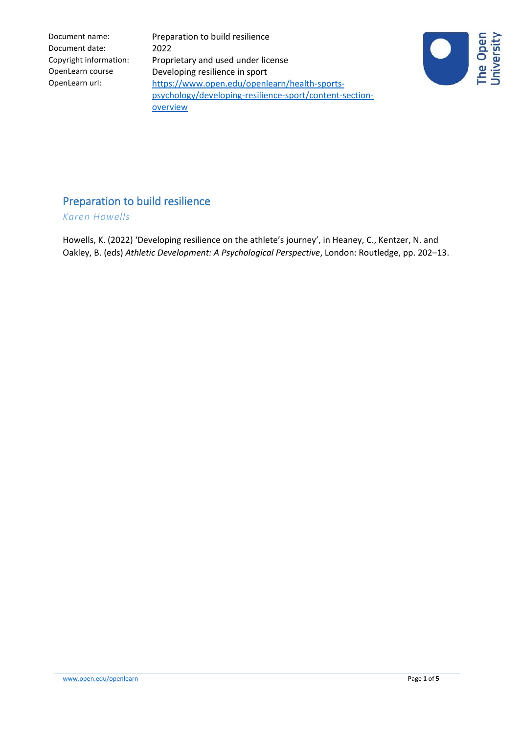Document name: Preparation to build resilience Copyright information: Proprietary and used under license OpenLearn course Developing resilience in sport OpenLearn url: [https://www.open.edu/openlearn/health-sports](https://www.open.edu/openlearn/health-sports-psychology/developing-resilience-sport/content-section-overview)[psychology/developing-resilience-sport/content-section](https://www.open.edu/openlearn/health-sports-psychology/developing-resilience-sport/content-section-overview)**[overview](https://www.open.edu/openlearn/health-sports-psychology/developing-resilience-sport/content-section-overview)** 



# Preparation to build resilience

*Karen Howells*

Howells, K. (2022) 'Developing resilience on the athlete's journey', in Heaney, C., Kentzer, N. and Oakley, B. (eds) *Athletic Development: A Psychological Perspective*, London: Routledge, pp. 202–13.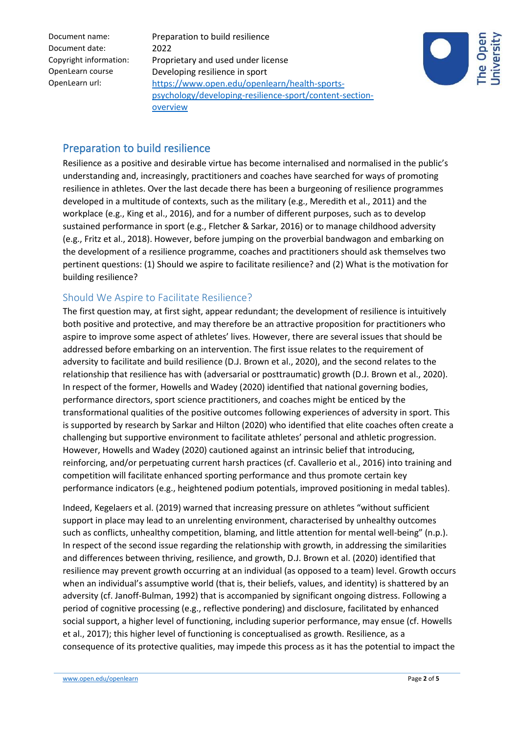Document name: Preparation to build resilience Copyright information: Proprietary and used under license OpenLearn course Developing resilience in sport OpenLearn url: [https://www.open.edu/openlearn/health-sports](https://www.open.edu/openlearn/health-sports-psychology/developing-resilience-sport/content-section-overview)[psychology/developing-resilience-sport/content-section](https://www.open.edu/openlearn/health-sports-psychology/developing-resilience-sport/content-section-overview)**[overview](https://www.open.edu/openlearn/health-sports-psychology/developing-resilience-sport/content-section-overview)** 



## Preparation to build resilience

Resilience as a positive and desirable virtue has become internalised and normalised in the public's understanding and, increasingly, practitioners and coaches have searched for ways of promoting resilience in athletes. Over the last decade there has been a burgeoning of resilience programmes developed in a multitude of contexts, such as the military (e.g., Meredith et al., 2011) and the workplace (e.g., King et al., 2016), and for a number of different purposes, such as to develop sustained performance in sport (e.g., Fletcher & Sarkar, 2016) or to manage childhood adversity (e.g., Fritz et al., 2018). However, before jumping on the proverbial bandwagon and embarking on the development of a resilience programme, coaches and practitioners should ask themselves two pertinent questions: (1) Should we aspire to facilitate resilience? and (2) What is the motivation for building resilience?

## Should We Aspire to Facilitate Resilience?

The first question may, at first sight, appear redundant; the development of resilience is intuitively both positive and protective, and may therefore be an attractive proposition for practitioners who aspire to improve some aspect of athletes' lives. However, there are several issues that should be addressed before embarking on an intervention. The first issue relates to the requirement of adversity to facilitate and build resilience (D.J. Brown et al., 2020), and the second relates to the relationship that resilience has with (adversarial or posttraumatic) growth (D.J. Brown et al., 2020). In respect of the former, Howells and Wadey (2020) identified that national governing bodies, performance directors, sport science practitioners, and coaches might be enticed by the transformational qualities of the positive outcomes following experiences of adversity in sport. This is supported by research by Sarkar and Hilton (2020) who identified that elite coaches often create a challenging but supportive environment to facilitate athletes' personal and athletic progression. However, Howells and Wadey (2020) cautioned against an intrinsic belief that introducing, reinforcing, and/or perpetuating current harsh practices (cf. Cavallerio et al., 2016) into training and competition will facilitate enhanced sporting performance and thus promote certain key performance indicators (e.g., heightened podium potentials, improved positioning in medal tables).

Indeed, Kegelaers et al. (2019) warned that increasing pressure on athletes "without sufficient support in place may lead to an unrelenting environment, characterised by unhealthy outcomes such as conflicts, unhealthy competition, blaming, and little attention for mental well-being" (n.p.). In respect of the second issue regarding the relationship with growth, in addressing the similarities and differences between thriving, resilience, and growth, D.J. Brown et al. (2020) identified that resilience may prevent growth occurring at an individual (as opposed to a team) level. Growth occurs when an individual's assumptive world (that is, their beliefs, values, and identity) is shattered by an adversity (cf. Janoff-Bulman, 1992) that is accompanied by significant ongoing distress. Following a period of cognitive processing (e.g., reflective pondering) and disclosure, facilitated by enhanced social support, a higher level of functioning, including superior performance, may ensue (cf. Howells et al., 2017); this higher level of functioning is conceptualised as growth. Resilience, as a consequence of its protective qualities, may impede this process as it has the potential to impact the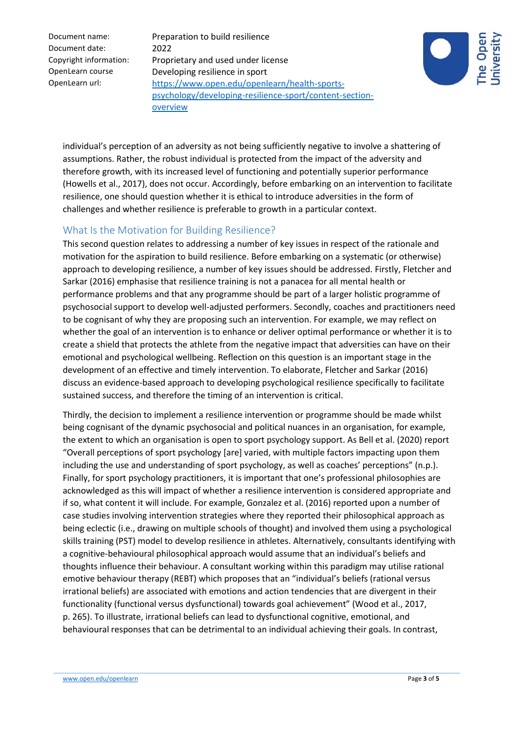Document name: Preparation to build resilience Copyright information: Proprietary and used under license OpenLearn course Developing resilience in sport OpenLearn url: [https://www.open.edu/openlearn/health-sports](https://www.open.edu/openlearn/health-sports-psychology/developing-resilience-sport/content-section-overview)[psychology/developing-resilience-sport/content-section](https://www.open.edu/openlearn/health-sports-psychology/developing-resilience-sport/content-section-overview)**[overview](https://www.open.edu/openlearn/health-sports-psychology/developing-resilience-sport/content-section-overview)** 



individual's perception of an adversity as not being sufficiently negative to involve a shattering of assumptions. Rather, the robust individual is protected from the impact of the adversity and therefore growth, with its increased level of functioning and potentially superior performance (Howells et al., 2017), does not occur. Accordingly, before embarking on an intervention to facilitate resilience, one should question whether it is ethical to introduce adversities in the form of challenges and whether resilience is preferable to growth in a particular context.

### What Is the Motivation for Building Resilience?

This second question relates to addressing a number of key issues in respect of the rationale and motivation for the aspiration to build resilience. Before embarking on a systematic (or otherwise) approach to developing resilience, a number of key issues should be addressed. Firstly, Fletcher and Sarkar (2016) emphasise that resilience training is not a panacea for all mental health or performance problems and that any programme should be part of a larger holistic programme of psychosocial support to develop well-adjusted performers. Secondly, coaches and practitioners need to be cognisant of why they are proposing such an intervention. For example, we may reflect on whether the goal of an intervention is to enhance or deliver optimal performance or whether it is to create a shield that protects the athlete from the negative impact that adversities can have on their emotional and psychological wellbeing. Reflection on this question is an important stage in the development of an effective and timely intervention. To elaborate, Fletcher and Sarkar (2016) discuss an evidence-based approach to developing psychological resilience specifically to facilitate sustained success, and therefore the timing of an intervention is critical.

Thirdly, the decision to implement a resilience intervention or programme should be made whilst being cognisant of the dynamic psychosocial and political nuances in an organisation, for example, the extent to which an organisation is open to sport psychology support. As Bell et al. (2020) report "Overall perceptions of sport psychology [are] varied, with multiple factors impacting upon them including the use and understanding of sport psychology, as well as coaches' perceptions" (n.p.). Finally, for sport psychology practitioners, it is important that one's professional philosophies are acknowledged as this will impact of whether a resilience intervention is considered appropriate and if so, what content it will include. For example, Gonzalez et al. (2016) reported upon a number of case studies involving intervention strategies where they reported their philosophical approach as being eclectic (i.e., drawing on multiple schools of thought) and involved them using a psychological skills training (PST) model to develop resilience in athletes. Alternatively, consultants identifying with a cognitive-behavioural philosophical approach would assume that an individual's beliefs and thoughts influence their behaviour. A consultant working within this paradigm may utilise rational emotive behaviour therapy (REBT) which proposes that an "individual's beliefs (rational versus irrational beliefs) are associated with emotions and action tendencies that are divergent in their functionality (functional versus dysfunctional) towards goal achievement" (Wood et al., 2017, p. 265). To illustrate, irrational beliefs can lead to dysfunctional cognitive, emotional, and behavioural responses that can be detrimental to an individual achieving their goals. In contrast,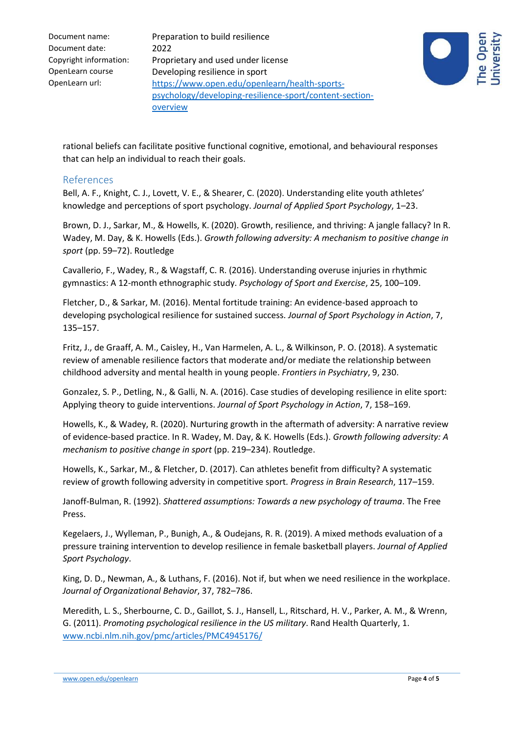Document name: Preparation to build resilience Copyright information: Proprietary and used under license OpenLearn course Developing resilience in sport OpenLearn url: [https://www.open.edu/openlearn/health-sports](https://www.open.edu/openlearn/health-sports-psychology/developing-resilience-sport/content-section-overview)[psychology/developing-resilience-sport/content-section](https://www.open.edu/openlearn/health-sports-psychology/developing-resilience-sport/content-section-overview)**[overview](https://www.open.edu/openlearn/health-sports-psychology/developing-resilience-sport/content-section-overview)** 



rational beliefs can facilitate positive functional cognitive, emotional, and behavioural responses that can help an individual to reach their goals.

#### References

Bell, A. F., Knight, C. J., Lovett, V. E., & Shearer, C. (2020). Understanding elite youth athletes' knowledge and perceptions of sport psychology. *Journal of Applied Sport Psychology*, 1–23.

Brown, D. J., Sarkar, M., & Howells, K. (2020). Growth, resilience, and thriving: A jangle fallacy? In R. Wadey, M. Day, & K. Howells (Eds.). *Growth following adversity: A mechanism to positive change in sport* (pp. 59–72). Routledge

Cavallerio, F., Wadey, R., & Wagstaff, C. R. (2016). Understanding overuse injuries in rhythmic gymnastics: A 12-month ethnographic study. *Psychology of Sport and Exercise*, 25, 100–109.

Fletcher, D., & Sarkar, M. (2016). Mental fortitude training: An evidence-based approach to developing psychological resilience for sustained success. *Journal of Sport Psychology in Action*, 7, 135–157.

Fritz, J., de Graaff, A. M., Caisley, H., Van Harmelen, A. L., & Wilkinson, P. O. (2018). A systematic review of amenable resilience factors that moderate and/or mediate the relationship between childhood adversity and mental health in young people. *Frontiers in Psychiatry*, 9, 230.

Gonzalez, S. P., Detling, N., & Galli, N. A. (2016). Case studies of developing resilience in elite sport: Applying theory to guide interventions. *Journal of Sport Psychology in Action*, 7, 158–169.

Howells, K., & Wadey, R. (2020). Nurturing growth in the aftermath of adversity: A narrative review of evidence-based practice. In R. Wadey, M. Day, & K. Howells (Eds.). *Growth following adversity: A mechanism to positive change in sport* (pp. 219–234). Routledge.

Howells, K., Sarkar, M., & Fletcher, D. (2017). Can athletes benefit from difficulty? A systematic review of growth following adversity in competitive sport*. Progress in Brain Research*, 117–159.

Janoff-Bulman, R. (1992). *Shattered assumptions: Towards a new psychology of trauma*. The Free Press.

Kegelaers, J., Wylleman, P., Bunigh, A., & Oudejans, R. R. (2019). A mixed methods evaluation of a pressure training intervention to develop resilience in female basketball players. *Journal of Applied Sport Psychology*.

King, D. D., Newman, A., & Luthans, F. (2016). Not if, but when we need resilience in the workplace. *Journal of Organizational Behavior*, 37, 782–786.

Meredith, L. S., Sherbourne, C. D., Gaillot, S. J., Hansell, L., Ritschard, H. V., Parker, A. M., & Wrenn, G. (2011). *Promoting psychological resilience in the US military*. Rand Health Quarterly, 1. [www.ncbi.nlm.nih.gov/pmc/articles/PMC4945176/](http://www.ncbi.nlm.nih.gov/pmc/articles/PMC4945176/)

[www.open.edu/openlearn](http://www.open.edu/openlearn) **Page 4** of **5** of  $\overline{5}$